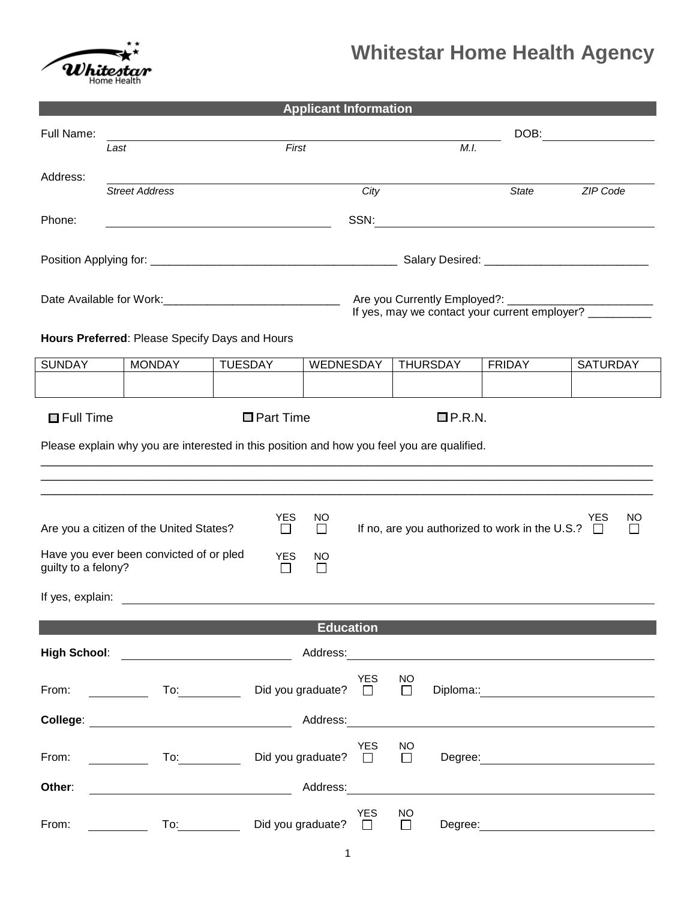

|                                                                                                                                                                                                                                |                                                                                                                                                                                                                                                                                                                                                                                                                                                                        |                  | <b>Applicant Information</b> |            |                     |                 |                                                                                                                       |                 |     |
|--------------------------------------------------------------------------------------------------------------------------------------------------------------------------------------------------------------------------------|------------------------------------------------------------------------------------------------------------------------------------------------------------------------------------------------------------------------------------------------------------------------------------------------------------------------------------------------------------------------------------------------------------------------------------------------------------------------|------------------|------------------------------|------------|---------------------|-----------------|-----------------------------------------------------------------------------------------------------------------------|-----------------|-----|
| Full Name:                                                                                                                                                                                                                     |                                                                                                                                                                                                                                                                                                                                                                                                                                                                        |                  |                              |            | DOB:                |                 |                                                                                                                       |                 |     |
|                                                                                                                                                                                                                                | Last                                                                                                                                                                                                                                                                                                                                                                                                                                                                   | First            |                              |            | M.I.                |                 |                                                                                                                       |                 |     |
| Address:                                                                                                                                                                                                                       |                                                                                                                                                                                                                                                                                                                                                                                                                                                                        |                  |                              |            |                     |                 |                                                                                                                       |                 |     |
|                                                                                                                                                                                                                                | <b>Street Address</b>                                                                                                                                                                                                                                                                                                                                                                                                                                                  |                  |                              | City       |                     |                 | <b>State</b>                                                                                                          | ZIP Code        |     |
| Phone:                                                                                                                                                                                                                         |                                                                                                                                                                                                                                                                                                                                                                                                                                                                        |                  |                              | SSN:       |                     |                 | <u> 1989 - Johann Barn, mars ann an t-Amhainn an t-Amhainn an t-Amhainn an t-Amhainn an t-Amhainn an t-Amhainn an</u> |                 |     |
|                                                                                                                                                                                                                                |                                                                                                                                                                                                                                                                                                                                                                                                                                                                        |                  |                              |            |                     |                 |                                                                                                                       |                 |     |
|                                                                                                                                                                                                                                |                                                                                                                                                                                                                                                                                                                                                                                                                                                                        |                  |                              |            |                     |                 |                                                                                                                       |                 |     |
|                                                                                                                                                                                                                                |                                                                                                                                                                                                                                                                                                                                                                                                                                                                        |                  |                              |            |                     |                 |                                                                                                                       |                 |     |
|                                                                                                                                                                                                                                |                                                                                                                                                                                                                                                                                                                                                                                                                                                                        |                  |                              |            |                     |                 | If yes, may we contact your current employer? _________                                                               |                 |     |
| Hours Preferred: Please Specify Days and Hours                                                                                                                                                                                 |                                                                                                                                                                                                                                                                                                                                                                                                                                                                        |                  |                              |            |                     |                 |                                                                                                                       |                 |     |
|                                                                                                                                                                                                                                |                                                                                                                                                                                                                                                                                                                                                                                                                                                                        |                  |                              |            |                     |                 |                                                                                                                       |                 |     |
| <b>SUNDAY</b>                                                                                                                                                                                                                  | <b>MONDAY</b>                                                                                                                                                                                                                                                                                                                                                                                                                                                          | <b>TUESDAY</b>   | WEDNESDAY                    |            |                     | <b>THURSDAY</b> | <b>FRIDAY</b>                                                                                                         | <b>SATURDAY</b> |     |
|                                                                                                                                                                                                                                |                                                                                                                                                                                                                                                                                                                                                                                                                                                                        |                  |                              |            |                     |                 |                                                                                                                       |                 |     |
| $\Box$ Full Time                                                                                                                                                                                                               |                                                                                                                                                                                                                                                                                                                                                                                                                                                                        | $\Box$ Part Time |                              |            |                     | $\Box$ P.R.N.   |                                                                                                                       |                 |     |
|                                                                                                                                                                                                                                | Please explain why you are interested in this position and how you feel you are qualified.                                                                                                                                                                                                                                                                                                                                                                             |                  |                              |            |                     |                 |                                                                                                                       |                 |     |
|                                                                                                                                                                                                                                |                                                                                                                                                                                                                                                                                                                                                                                                                                                                        |                  |                              |            |                     |                 |                                                                                                                       |                 |     |
|                                                                                                                                                                                                                                |                                                                                                                                                                                                                                                                                                                                                                                                                                                                        |                  |                              |            |                     |                 |                                                                                                                       |                 |     |
|                                                                                                                                                                                                                                |                                                                                                                                                                                                                                                                                                                                                                                                                                                                        | <b>YES</b>       | NO.                          |            |                     |                 |                                                                                                                       | YES.            | NO. |
|                                                                                                                                                                                                                                | Are you a citizen of the United States?                                                                                                                                                                                                                                                                                                                                                                                                                                | $\Box$           | $\Box$                       |            |                     |                 | If no, are you authorized to work in the U.S.? $\Box$                                                                 |                 |     |
|                                                                                                                                                                                                                                | Have you ever been convicted of or pled                                                                                                                                                                                                                                                                                                                                                                                                                                | <b>YES</b>       | NO                           |            |                     |                 |                                                                                                                       |                 |     |
| guilty to a felony?<br>ப<br>$\mathbb{R}^n$                                                                                                                                                                                     |                                                                                                                                                                                                                                                                                                                                                                                                                                                                        |                  |                              |            |                     |                 |                                                                                                                       |                 |     |
| If yes, explain:                                                                                                                                                                                                               |                                                                                                                                                                                                                                                                                                                                                                                                                                                                        |                  |                              |            |                     |                 |                                                                                                                       |                 |     |
|                                                                                                                                                                                                                                |                                                                                                                                                                                                                                                                                                                                                                                                                                                                        |                  | <b>Education</b>             |            |                     |                 |                                                                                                                       |                 |     |
| High School: <u>_________________________</u>                                                                                                                                                                                  |                                                                                                                                                                                                                                                                                                                                                                                                                                                                        |                  |                              |            |                     |                 |                                                                                                                       |                 |     |
|                                                                                                                                                                                                                                |                                                                                                                                                                                                                                                                                                                                                                                                                                                                        |                  |                              |            |                     |                 |                                                                                                                       |                 |     |
| From: The contract of the contract of the contract of the contract of the contract of the contract of the contract of the contract of the contract of the contract of the contract of the contract of the contract of the cont |                                                                                                                                                                                                                                                                                                                                                                                                                                                                        |                  | Did you graduate? $\Box$     | <b>YES</b> | NO.<br>$\Box$       |                 | Diploma:: <u>_______________________</u>                                                                              |                 |     |
|                                                                                                                                                                                                                                |                                                                                                                                                                                                                                                                                                                                                                                                                                                                        |                  |                              |            |                     |                 |                                                                                                                       |                 |     |
|                                                                                                                                                                                                                                |                                                                                                                                                                                                                                                                                                                                                                                                                                                                        |                  |                              |            |                     |                 |                                                                                                                       |                 |     |
| From:                                                                                                                                                                                                                          | To: the contract of the contract of the contract of the contract of the contract of the contract of the contract of the contract of the contract of the contract of the contract of the contract of the contract of the contra<br><u>and the community of the community of the community of the community of the community of the community of the community of the community of the community of the community of the community of the community of the community</u> |                  | Did you graduate? $\Box$     | <b>YES</b> | <b>NO</b><br>$\Box$ |                 |                                                                                                                       |                 |     |
|                                                                                                                                                                                                                                |                                                                                                                                                                                                                                                                                                                                                                                                                                                                        |                  |                              |            |                     |                 |                                                                                                                       |                 |     |
| Other:                                                                                                                                                                                                                         |                                                                                                                                                                                                                                                                                                                                                                                                                                                                        |                  |                              |            |                     |                 |                                                                                                                       |                 |     |
| From:                                                                                                                                                                                                                          | To: the contract of the contract of the contract of the contract of the contract of the contract of the contract of the contract of the contract of the contract of the contract of the contract of the contract of the contra                                                                                                                                                                                                                                         |                  | Did you graduate? $\square$  | <b>YES</b> | <b>NO</b><br>П      | Degree:         |                                                                                                                       |                 |     |